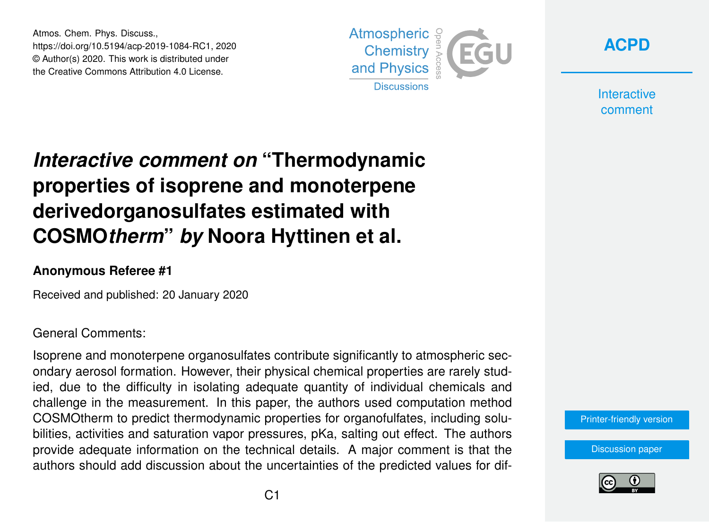Atmos. Chem. Phys. Discuss., https://doi.org/10.5194/acp-2019-1084-RC1, 2020 © Author(s) 2020. This work is distributed under the Creative Commons Attribution 4.0 License.





**Interactive** comment

# *Interactive comment on* **"Thermodynamic properties of isoprene and monoterpene derivedorganosulfates estimated with COSMO***therm***"** *by* **Noora Hyttinen et al.**

### **Anonymous Referee #1**

Received and published: 20 January 2020

#### General Comments:

Isoprene and monoterpene organosulfates contribute significantly to atmospheric secondary aerosol formation. However, their physical chemical properties are rarely studied, due to the difficulty in isolating adequate quantity of individual chemicals and challenge in the measurement. In this paper, the authors used computation method COSMOtherm to predict thermodynamic properties for organofulfates, including solubilities, activities and saturation vapor pressures, pKa, salting out effect. The authors provide adequate information on the technical details. A major comment is that the authors should add discussion about the uncertainties of the predicted values for dif-

#### [Printer-friendly version](https://www.atmos-chem-phys-discuss.net/acp-2019-1084/acp-2019-1084-RC1-print.pdf)

[Discussion paper](https://www.atmos-chem-phys-discuss.net/acp-2019-1084)

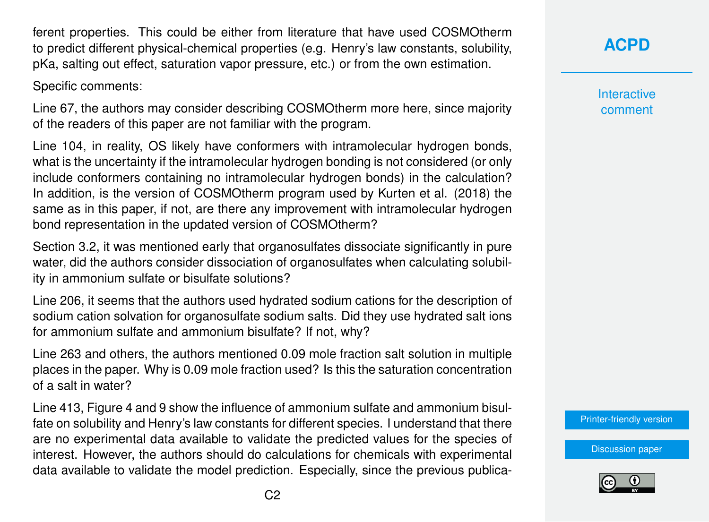ferent properties. This could be either from literature that have used COSMOtherm to predict different physical-chemical properties (e.g. Henry's law constants, solubility, pKa, salting out effect, saturation vapor pressure, etc.) or from the own estimation.

Specific comments:

Line 67, the authors may consider describing COSMOtherm more here, since majority of the readers of this paper are not familiar with the program.

Line 104, in reality, OS likely have conformers with intramolecular hydrogen bonds, what is the uncertainty if the intramolecular hydrogen bonding is not considered (or only include conformers containing no intramolecular hydrogen bonds) in the calculation? In addition, is the version of COSMOtherm program used by Kurten et al. (2018) the same as in this paper, if not, are there any improvement with intramolecular hydrogen bond representation in the updated version of COSMOtherm?

Section 3.2, it was mentioned early that organosulfates dissociate significantly in pure water, did the authors consider dissociation of organosulfates when calculating solubility in ammonium sulfate or bisulfate solutions?

Line 206, it seems that the authors used hydrated sodium cations for the description of sodium cation solvation for organosulfate sodium salts. Did they use hydrated salt ions for ammonium sulfate and ammonium bisulfate? If not, why?

Line 263 and others, the authors mentioned 0.09 mole fraction salt solution in multiple places in the paper. Why is 0.09 mole fraction used? Is this the saturation concentration of a salt in water?

Line 413, Figure 4 and 9 show the influence of ammonium sulfate and ammonium bisulfate on solubility and Henry's law constants for different species. I understand that there are no experimental data available to validate the predicted values for the species of interest. However, the authors should do calculations for chemicals with experimental data available to validate the model prediction. Especially, since the previous publica**[ACPD](https://www.atmos-chem-phys-discuss.net/)**

**Interactive** comment

[Printer-friendly version](https://www.atmos-chem-phys-discuss.net/acp-2019-1084/acp-2019-1084-RC1-print.pdf)

[Discussion paper](https://www.atmos-chem-phys-discuss.net/acp-2019-1084)